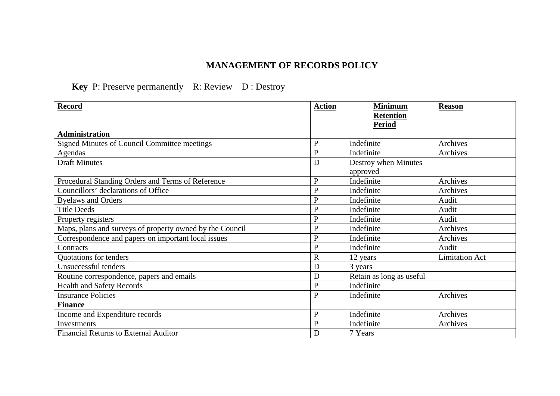## **MANAGEMENT OF RECORDS POLICY**

## **Key** P: Preserve permanently R: Review D : Destroy

| <b>Record</b>                                            | <b>Action</b> | <b>Minimum</b><br><b>Retention</b> | <b>Reason</b>         |
|----------------------------------------------------------|---------------|------------------------------------|-----------------------|
|                                                          |               | <b>Period</b>                      |                       |
| <b>Administration</b>                                    |               |                                    |                       |
| Signed Minutes of Council Committee meetings             | $\mathbf{P}$  | Indefinite                         | Archives              |
| Agendas                                                  | $\mathbf{P}$  | Indefinite                         | Archives              |
| <b>Draft Minutes</b>                                     | D             | Destroy when Minutes<br>approved   |                       |
| Procedural Standing Orders and Terms of Reference        | $\mathbf{P}$  | Indefinite                         | Archives              |
| Councillors' declarations of Office                      | $\mathbf{P}$  | Indefinite                         | Archives              |
| <b>Byelaws and Orders</b>                                | $\mathbf{P}$  | Indefinite                         | Audit                 |
| <b>Title Deeds</b>                                       | $\mathbf{P}$  | Indefinite                         | Audit                 |
| Property registers                                       | $\mathbf{P}$  | Indefinite                         | Audit                 |
| Maps, plans and surveys of property owned by the Council | $\mathbf{P}$  | Indefinite                         | Archives              |
| Correspondence and papers on important local issues      | $\mathbf{P}$  | Indefinite                         | Archives              |
| Contracts                                                | $\mathbf{P}$  | Indefinite                         | Audit                 |
| Quotations for tenders                                   | $\mathbb{R}$  | 12 years                           | <b>Limitation Act</b> |
| Unsuccessful tenders                                     | D             | 3 years                            |                       |
| Routine correspondence, papers and emails                | D             | Retain as long as useful           |                       |
| <b>Health and Safety Records</b>                         | P             | Indefinite                         |                       |
| <b>Insurance Policies</b>                                | $\mathbf{P}$  | Indefinite                         | Archives              |
| <b>Finance</b>                                           |               |                                    |                       |
| Income and Expenditure records                           | $\mathbf{P}$  | Indefinite                         | Archives              |
| <b>Investments</b>                                       | $\mathbf P$   | Indefinite                         | Archives              |
| <b>Financial Returns to External Auditor</b>             | D             | 7 Years                            |                       |